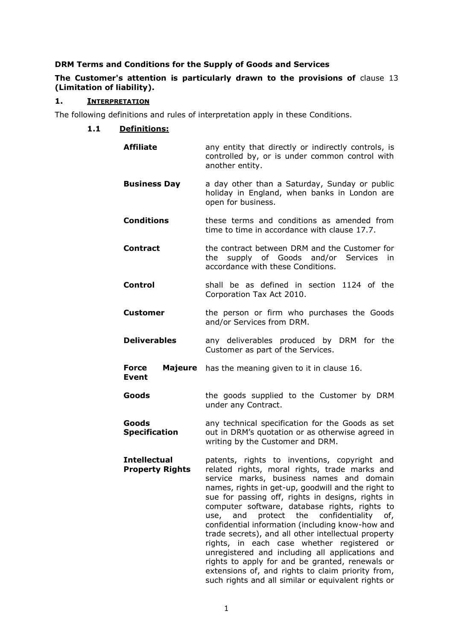# **DRM Terms and Conditions for the Supply of Goods and Services**

# **The Customer's attention is particularly drawn to the provisions of** clause [13](#page-8-0) **(Limitation of liability).**

# **1. INTERPRETATION**

The following definitions and rules of interpretation apply in these Conditions.

# **1.1 Definitions:**

| <b>Affiliate</b>                              | any entity that directly or indirectly controls, is<br>controlled by, or is under common control with<br>another entity.                                                                                                                                                                                                                                                                                                                                                                                                                                                                                                                                                                                                                 |
|-----------------------------------------------|------------------------------------------------------------------------------------------------------------------------------------------------------------------------------------------------------------------------------------------------------------------------------------------------------------------------------------------------------------------------------------------------------------------------------------------------------------------------------------------------------------------------------------------------------------------------------------------------------------------------------------------------------------------------------------------------------------------------------------------|
| <b>Business Day</b>                           | a day other than a Saturday, Sunday or public<br>holiday in England, when banks in London are<br>open for business.                                                                                                                                                                                                                                                                                                                                                                                                                                                                                                                                                                                                                      |
| <b>Conditions</b>                             | these terms and conditions as amended from<br>time to time in accordance with clause 17.7.                                                                                                                                                                                                                                                                                                                                                                                                                                                                                                                                                                                                                                               |
| <b>Contract</b>                               | the contract between DRM and the Customer for<br>supply of Goods and/or Services in<br>the<br>accordance with these Conditions.                                                                                                                                                                                                                                                                                                                                                                                                                                                                                                                                                                                                          |
| <b>Control</b>                                | shall be as defined in section 1124 of the<br>Corporation Tax Act 2010.                                                                                                                                                                                                                                                                                                                                                                                                                                                                                                                                                                                                                                                                  |
| <b>Customer</b>                               | the person or firm who purchases the Goods<br>and/or Services from DRM.                                                                                                                                                                                                                                                                                                                                                                                                                                                                                                                                                                                                                                                                  |
| <b>Deliverables</b>                           | any deliverables produced by DRM for the<br>Customer as part of the Services.                                                                                                                                                                                                                                                                                                                                                                                                                                                                                                                                                                                                                                                            |
| <b>Force</b><br><b>Event</b>                  | <b>Majeure</b> has the meaning given to it in clause 16.                                                                                                                                                                                                                                                                                                                                                                                                                                                                                                                                                                                                                                                                                 |
| Goods                                         | the goods supplied to the Customer by DRM<br>under any Contract.                                                                                                                                                                                                                                                                                                                                                                                                                                                                                                                                                                                                                                                                         |
| Goods<br><b>Specification</b>                 | any technical specification for the Goods as set<br>out in DRM's quotation or as otherwise agreed in<br>writing by the Customer and DRM.                                                                                                                                                                                                                                                                                                                                                                                                                                                                                                                                                                                                 |
| <b>Intellectual</b><br><b>Property Rights</b> | patents, rights to inventions, copyright and<br>related rights, moral rights, trade marks and<br>service marks, business names and domain<br>names, rights in get-up, goodwill and the right to<br>sue for passing off, rights in designs, rights in<br>computer software, database rights, rights to<br>protect the<br>confidentiality<br>of,<br>use,<br>and<br>confidential information (including know-how and<br>trade secrets), and all other intellectual property<br>rights, in each case whether registered or<br>unregistered and including all applications and<br>rights to apply for and be granted, renewals or<br>extensions of, and rights to claim priority from,<br>such rights and all similar or equivalent rights or |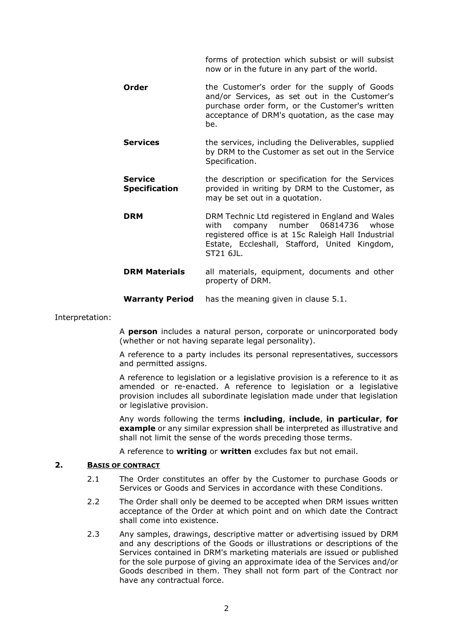forms of protection which subsist or will subsist now or in the future in any part of the world.

- **Order** the Customer's order for the supply of Goods and/or Services, as set out in the Customer's purchase order form, or the Customer's written acceptance of DRM's quotation, as the case may be.
- **Services** the services, including the Deliverables, supplied by DRM to the Customer as set out in the Service Specification.
- **Service Specification** the description or specification for the Services provided in writing by DRM to the Customer, as may be set out in a quotation.
- **DRM** DRM Technic Ltd registered in England and Wales with company number 06814736 whose registered office is at 15c Raleigh Hall Industrial Estate, Eccleshall, Stafford, United Kingdom, ST21 6JL.
- **DRM Materials** all materials, equipment, documents and other property of DRM.
- **Warranty Period** has the meaning given in clause [5.1.](#page-3-0)

#### Interpretation:

A **person** includes a natural person, corporate or unincorporated body (whether or not having separate legal personality).

A reference to a party includes its personal representatives, successors and permitted assigns.

A reference to legislation or a legislative provision is a reference to it as amended or re-enacted. A reference to legislation or a legislative provision includes all subordinate legislation made under that legislation or legislative provision.

Any words following the terms **including**, **include**, **in particular**, **for example** or any similar expression shall be interpreted as illustrative and shall not limit the sense of the words preceding those terms.

A reference to **writing** or **written** excludes fax but not email.

#### **2. BASIS OF CONTRACT**

- 2.1 The Order constitutes an offer by the Customer to purchase Goods or Services or Goods and Services in accordance with these Conditions.
- 2.2 The Order shall only be deemed to be accepted when DRM issues written acceptance of the Order at which point and on which date the Contract shall come into existence.
- 2.3 Any samples, drawings, descriptive matter or advertising issued by DRM and any descriptions of the Goods or illustrations or descriptions of the Services contained in DRM's marketing materials are issued or published for the sole purpose of giving an approximate idea of the Services and/or Goods described in them. They shall not form part of the Contract nor have any contractual force.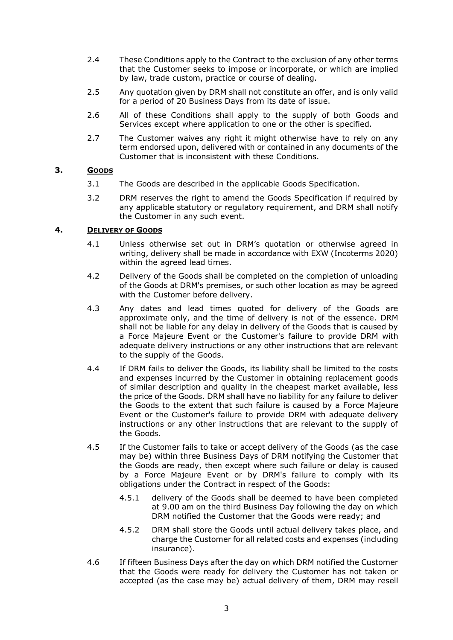- 2.4 These Conditions apply to the Contract to the exclusion of any other terms that the Customer seeks to impose or incorporate, or which are implied by law, trade custom, practice or course of dealing.
- 2.5 Any quotation given by DRM shall not constitute an offer, and is only valid for a period of 20 Business Days from its date of issue.
- 2.6 All of these Conditions shall apply to the supply of both Goods and Services except where application to one or the other is specified.
- 2.7 The Customer waives any right it might otherwise have to rely on any term endorsed upon, delivered with or contained in any documents of the Customer that is inconsistent with these Conditions.

# **3. GOODS**

- 3.1 The Goods are described in the applicable Goods Specification.
- 3.2 DRM reserves the right to amend the Goods Specification if required by any applicable statutory or regulatory requirement, and DRM shall notify the Customer in any such event.

## **4. DELIVERY OF GOODS**

- 4.1 Unless otherwise set out in DRM's quotation or otherwise agreed in writing, delivery shall be made in accordance with EXW (Incoterms 2020) within the agreed lead times.
- 4.2 Delivery of the Goods shall be completed on the completion of unloading of the Goods at DRM's premises, or such other location as may be agreed with the Customer before delivery.
- 4.3 Any dates and lead times quoted for delivery of the Goods are approximate only, and the time of delivery is not of the essence. DRM shall not be liable for any delay in delivery of the Goods that is caused by a Force Majeure Event or the Customer's failure to provide DRM with adequate delivery instructions or any other instructions that are relevant to the supply of the Goods.
- 4.4 If DRM fails to deliver the Goods, its liability shall be limited to the costs and expenses incurred by the Customer in obtaining replacement goods of similar description and quality in the cheapest market available, less the price of the Goods. DRM shall have no liability for any failure to deliver the Goods to the extent that such failure is caused by a Force Majeure Event or the Customer's failure to provide DRM with adequate delivery instructions or any other instructions that are relevant to the supply of the Goods.
- 4.5 If the Customer fails to take or accept delivery of the Goods (as the case may be) within three Business Days of DRM notifying the Customer that the Goods are ready, then except where such failure or delay is caused by a Force Majeure Event or by DRM's failure to comply with its obligations under the Contract in respect of the Goods:
	- 4.5.1 delivery of the Goods shall be deemed to have been completed at 9.00 am on the third Business Day following the day on which DRM notified the Customer that the Goods were ready; and
	- 4.5.2 DRM shall store the Goods until actual delivery takes place, and charge the Customer for all related costs and expenses (including insurance).
- 4.6 If fifteen Business Days after the day on which DRM notified the Customer that the Goods were ready for delivery the Customer has not taken or accepted (as the case may be) actual delivery of them, DRM may resell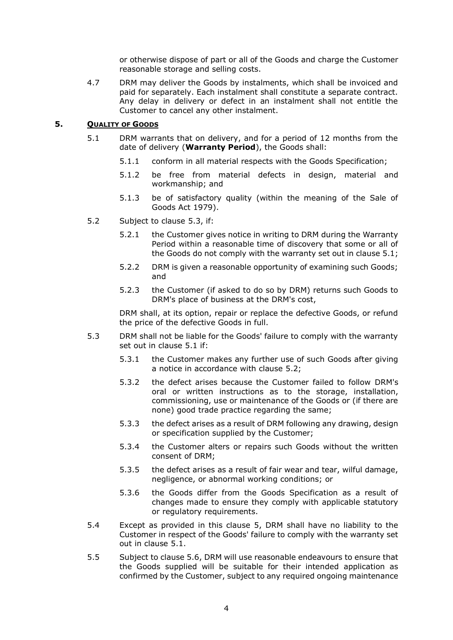or otherwise dispose of part or all of the Goods and charge the Customer reasonable storage and selling costs.

4.7 DRM may deliver the Goods by instalments, which shall be invoiced and paid for separately. Each instalment shall constitute a separate contract. Any delay in delivery or defect in an instalment shall not entitle the Customer to cancel any other instalment.

#### <span id="page-3-3"></span><span id="page-3-0"></span>**5. QUALITY OF GOODS**

- 5.1 DRM warrants that on delivery, and for a period of 12 months from the date of delivery (**Warranty Period**), the Goods shall:
	- 5.1.1 conform in all material respects with the Goods Specification;
	- 5.1.2 be free from material defects in design, material and workmanship; and
	- 5.1.3 be of satisfactory quality (within the meaning of the Sale of Goods Act 1979).
- <span id="page-3-2"></span>5.2 Subject to clause [5.3,](#page-3-1) if:
	- 5.2.1 the Customer gives notice in writing to DRM during the Warranty Period within a reasonable time of discovery that some or all of the Goods do not comply with the warranty set out in clause [5.1;](#page-3-0)
	- 5.2.2 DRM is given a reasonable opportunity of examining such Goods; and
	- 5.2.3 the Customer (if asked to do so by DRM) returns such Goods to DRM's place of business at the DRM's cost,

DRM shall, at its option, repair or replace the defective Goods, or refund the price of the defective Goods in full.

- <span id="page-3-1"></span>5.3 DRM shall not be liable for the Goods' failure to comply with the warranty set out in clause [5.1](#page-3-0) if:
	- 5.3.1 the Customer makes any further use of such Goods after giving a notice in accordance with clause [5.2;](#page-3-2)
	- 5.3.2 the defect arises because the Customer failed to follow DRM's oral or written instructions as to the storage, installation, commissioning, use or maintenance of the Goods or (if there are none) good trade practice regarding the same;
	- 5.3.3 the defect arises as a result of DRM following any drawing, design or specification supplied by the Customer;
	- 5.3.4 the Customer alters or repairs such Goods without the written consent of DRM;
	- 5.3.5 the defect arises as a result of fair wear and tear, wilful damage, negligence, or abnormal working conditions; or
	- 5.3.6 the Goods differ from the Goods Specification as a result of changes made to ensure they comply with applicable statutory or regulatory requirements.
- 5.4 Except as provided in this clause [5,](#page-3-3) DRM shall have no liability to the Customer in respect of the Goods' failure to comply with the warranty set out in clause [5.1.](#page-3-0)
- 5.5 Subject to clause 5.6, DRM will use reasonable endeavours to ensure that the Goods supplied will be suitable for their intended application as confirmed by the Customer, subject to any required ongoing maintenance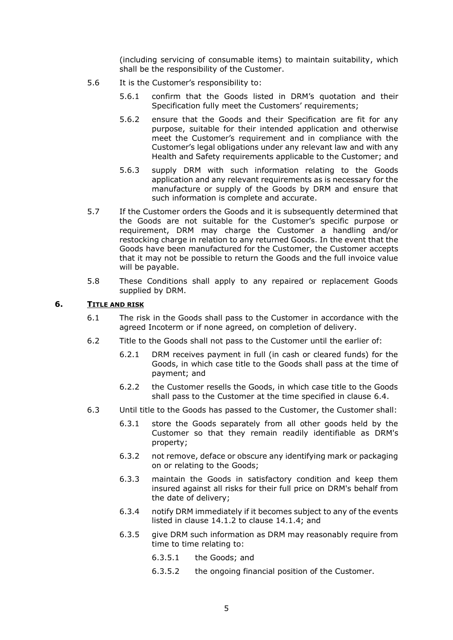(including servicing of consumable items) to maintain suitability, which shall be the responsibility of the Customer.

- 5.6 It is the Customer's responsibility to:
	- 5.6.1 confirm that the Goods listed in DRM's quotation and their Specification fully meet the Customers' requirements;
	- 5.6.2 ensure that the Goods and their Specification are fit for any purpose, suitable for their intended application and otherwise meet the Customer's requirement and in compliance with the Customer's legal obligations under any relevant law and with any Health and Safety requirements applicable to the Customer; and
	- 5.6.3 supply DRM with such information relating to the Goods application and any relevant requirements as is necessary for the manufacture or supply of the Goods by DRM and ensure that such information is complete and accurate.
- 5.7 If the Customer orders the Goods and it is subsequently determined that the Goods are not suitable for the Customer's specific purpose or requirement, DRM may charge the Customer a handling and/or restocking charge in relation to any returned Goods. In the event that the Goods have been manufactured for the Customer, the Customer accepts that it may not be possible to return the Goods and the full invoice value will be payable.
- 5.8 These Conditions shall apply to any repaired or replacement Goods supplied by DRM.

### **6. TITLE AND RISK**

- 6.1 The risk in the Goods shall pass to the Customer in accordance with the agreed Incoterm or if none agreed, on completion of delivery.
- 6.2 Title to the Goods shall not pass to the Customer until the earlier of:
	- 6.2.1 DRM receives payment in full (in cash or cleared funds) for the Goods, in which case title to the Goods shall pass at the time of payment; and
	- 6.2.2 the Customer resells the Goods, in which case title to the Goods shall pass to the Customer at the time specified in clause [6.4.](#page-5-0)
- 6.3 Until title to the Goods has passed to the Customer, the Customer shall:
	- 6.3.1 store the Goods separately from all other goods held by the Customer so that they remain readily identifiable as DRM's property;
	- 6.3.2 not remove, deface or obscure any identifying mark or packaging on or relating to the Goods;
	- 6.3.3 maintain the Goods in satisfactory condition and keep them insured against all risks for their full price on DRM's behalf from the date of delivery;
	- 6.3.4 notify DRM immediately if it becomes subject to any of the events listed in clause [14.1.2](#page-9-0) to clause [14.1.4;](#page-9-1) and
	- 6.3.5 give DRM such information as DRM may reasonably require from time to time relating to:
		- 6.3.5.1 the Goods; and
		- 6.3.5.2 the ongoing financial position of the Customer.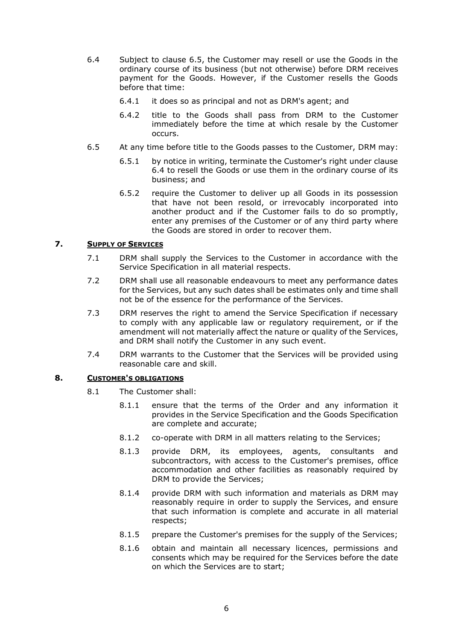- <span id="page-5-0"></span>6.4 Subject to clause [6.5,](#page-5-1) the Customer may resell or use the Goods in the ordinary course of its business (but not otherwise) before DRM receives payment for the Goods. However, if the Customer resells the Goods before that time:
	- 6.4.1 it does so as principal and not as DRM's agent; and
	- 6.4.2 title to the Goods shall pass from DRM to the Customer immediately before the time at which resale by the Customer occurs.
- <span id="page-5-1"></span>6.5 At any time before title to the Goods passes to the Customer, DRM may:
	- 6.5.1 by notice in writing, terminate the Customer's right under clause [6.4](#page-5-0) to resell the Goods or use them in the ordinary course of its business; and
	- 6.5.2 require the Customer to deliver up all Goods in its possession that have not been resold, or irrevocably incorporated into another product and if the Customer fails to do so promptly, enter any premises of the Customer or of any third party where the Goods are stored in order to recover them.

## **7. SUPPLY OF SERVICES**

- 7.1 DRM shall supply the Services to the Customer in accordance with the Service Specification in all material respects.
- 7.2 DRM shall use all reasonable endeavours to meet any performance dates for the Services, but any such dates shall be estimates only and time shall not be of the essence for the performance of the Services.
- 7.3 DRM reserves the right to amend the Service Specification if necessary to comply with any applicable law or regulatory requirement, or if the amendment will not materially affect the nature or quality of the Services, and DRM shall notify the Customer in any such event.
- 7.4 DRM warrants to the Customer that the Services will be provided using reasonable care and skill.

### **8. CUSTOMER'S OBLIGATIONS**

- 8.1 The Customer shall:
	- 8.1.1 ensure that the terms of the Order and any information it provides in the Service Specification and the Goods Specification are complete and accurate;
	- 8.1.2 co-operate with DRM in all matters relating to the Services;
	- 8.1.3 provide DRM, its employees, agents, consultants and subcontractors, with access to the Customer's premises, office accommodation and other facilities as reasonably required by DRM to provide the Services;
	- 8.1.4 provide DRM with such information and materials as DRM may reasonably require in order to supply the Services, and ensure that such information is complete and accurate in all material respects;
	- 8.1.5 prepare the Customer's premises for the supply of the Services;
	- 8.1.6 obtain and maintain all necessary licences, permissions and consents which may be required for the Services before the date on which the Services are to start;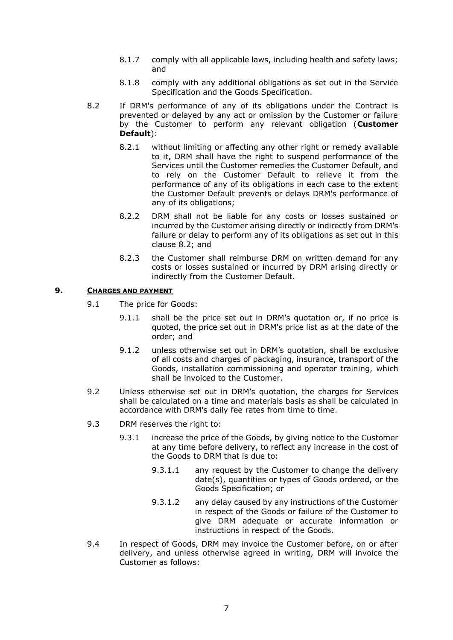- 8.1.7 comply with all applicable laws, including health and safety laws; and
- 8.1.8 comply with any additional obligations as set out in the Service Specification and the Goods Specification.
- <span id="page-6-0"></span>8.2 If DRM's performance of any of its obligations under the Contract is prevented or delayed by any act or omission by the Customer or failure by the Customer to perform any relevant obligation (**Customer Default**):
	- 8.2.1 without limiting or affecting any other right or remedy available to it, DRM shall have the right to suspend performance of the Services until the Customer remedies the Customer Default, and to rely on the Customer Default to relieve it from the performance of any of its obligations in each case to the extent the Customer Default prevents or delays DRM's performance of any of its obligations;
	- 8.2.2 DRM shall not be liable for any costs or losses sustained or incurred by the Customer arising directly or indirectly from DRM's failure or delay to perform any of its obligations as set out in this clause [8.2;](#page-6-0) and
	- 8.2.3 the Customer shall reimburse DRM on written demand for any costs or losses sustained or incurred by DRM arising directly or indirectly from the Customer Default.

#### **9. CHARGES AND PAYMENT**

- 9.1 The price for Goods:
	- 9.1.1 shall be the price set out in DRM's quotation or, if no price is quoted, the price set out in DRM's price list as at the date of the order; and
	- 9.1.2 unless otherwise set out in DRM's quotation, shall be exclusive of all costs and charges of packaging, insurance, transport of the Goods, installation commissioning and operator training, which shall be invoiced to the Customer.
- 9.2 Unless otherwise set out in DRM's quotation, the charges for Services shall be calculated on a time and materials basis as shall be calculated in accordance with DRM's daily fee rates from time to time.
- 9.3 DRM reserves the right to:
	- 9.3.1 increase the price of the Goods, by giving notice to the Customer at any time before delivery, to reflect any increase in the cost of the Goods to DRM that is due to:
		- 9.3.1.1 any request by the Customer to change the delivery date(s), quantities or types of Goods ordered, or the Goods Specification; or
		- 9.3.1.2 any delay caused by any instructions of the Customer in respect of the Goods or failure of the Customer to give DRM adequate or accurate information or instructions in respect of the Goods.
- 9.4 In respect of Goods, DRM may invoice the Customer before, on or after delivery, and unless otherwise agreed in writing, DRM will invoice the Customer as follows: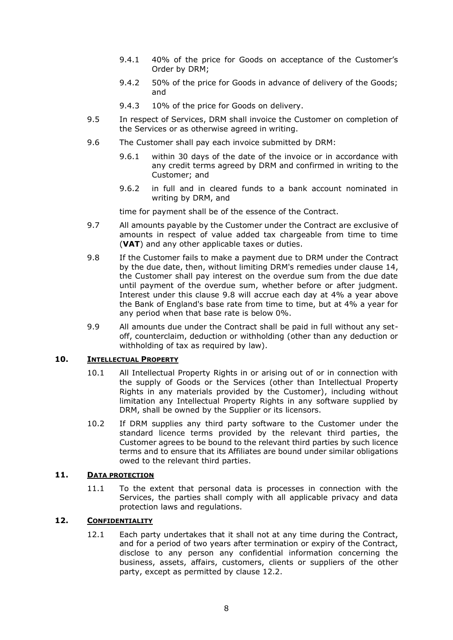- 9.4.1 40% of the price for Goods on acceptance of the Customer's Order by DRM;
- 9.4.2 50% of the price for Goods in advance of delivery of the Goods; and
- 9.4.3 10% of the price for Goods on delivery.
- 9.5 In respect of Services, DRM shall invoice the Customer on completion of the Services or as otherwise agreed in writing.
- 9.6 The Customer shall pay each invoice submitted by DRM:
	- 9.6.1 within 30 days of the date of the invoice or in accordance with any credit terms agreed by DRM and confirmed in writing to the Customer; and
	- 9.6.2 in full and in cleared funds to a bank account nominated in writing by DRM, and

time for payment shall be of the essence of the Contract.

- 9.7 All amounts payable by the Customer under the Contract are exclusive of amounts in respect of value added tax chargeable from time to time (**VAT**) and any other applicable taxes or duties.
- <span id="page-7-0"></span>9.8 If the Customer fails to make a payment due to DRM under the Contract by the due date, then, without limiting DRM's remedies under clause [14,](#page-9-2) the Customer shall pay interest on the overdue sum from the due date until payment of the overdue sum, whether before or after judgment. Interest under this clause [9.8](#page-7-0) will accrue each day at 4% a year above the Bank of England's base rate from time to time, but at 4% a year for any period when that base rate is below 0%.
- 9.9 All amounts due under the Contract shall be paid in full without any setoff, counterclaim, deduction or withholding (other than any deduction or withholding of tax as required by law).

### <span id="page-7-1"></span>**10. INTELLECTUAL PROPERTY**

- 10.1 All Intellectual Property Rights in or arising out of or in connection with the supply of Goods or the Services (other than Intellectual Property Rights in any materials provided by the Customer), including without limitation any Intellectual Property Rights in any software supplied by DRM, shall be owned by the Supplier or its licensors.
- 10.2 If DRM supplies any third party software to the Customer under the standard licence terms provided by the relevant third parties, the Customer agrees to be bound to the relevant third parties by such licence terms and to ensure that its Affiliates are bound under similar obligations owed to the relevant third parties.

#### **11. DATA PROTECTION**

11.1 To the extent that personal data is processes in connection with the Services, the parties shall comply with all applicable privacy and data protection laws and regulations.

# **12. CONFIDENTIALITY**

12.1 Each party undertakes that it shall not at any time during the Contract, and for a period of two years after termination or expiry of the Contract, disclose to any person any confidential information concerning the business, assets, affairs, customers, clients or suppliers of the other party, except as permitted by clause [12.2.](#page-8-1)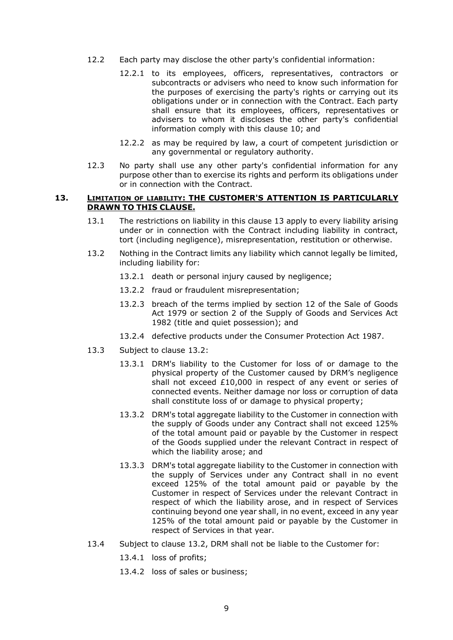- <span id="page-8-1"></span>12.2 Each party may disclose the other party's confidential information:
	- 12.2.1 to its employees, officers, representatives, contractors or subcontracts or advisers who need to know such information for the purposes of exercising the party's rights or carrying out its obligations under or in connection with the Contract. Each party shall ensure that its employees, officers, representatives or advisers to whom it discloses the other party's confidential information comply with this clause [10;](#page-7-1) and
	- 12.2.2 as may be required by law, a court of competent jurisdiction or any governmental or regulatory authority.
- 12.3 No party shall use any other party's confidential information for any purpose other than to exercise its rights and perform its obligations under or in connection with the Contract.

### <span id="page-8-0"></span>**13. LIMITATION OF LIABILITY: THE CUSTOMER'S ATTENTION IS PARTICULARLY DRAWN TO THIS CLAUSE.**

- 13.1 The restrictions on liability in this clause [13](#page-8-0) apply to every liability arising under or in connection with the Contract including liability in contract, tort (including negligence), misrepresentation, restitution or otherwise.
- <span id="page-8-2"></span>13.2 Nothing in the Contract limits any liability which cannot legally be limited, including liability for:
	- 13.2.1 death or personal injury caused by negligence;
	- 13.2.2 fraud or fraudulent misrepresentation;
	- 13.2.3 breach of the terms implied by section 12 of the Sale of Goods Act 1979 or section 2 of the Supply of Goods and Services Act 1982 (title and quiet possession); and
	- 13.2.4 defective products under the Consumer Protection Act 1987.
- 13.3 Subject to clause [13.2:](#page-8-2)
	- 13.3.1 DRM's liability to the Customer for loss of or damage to the physical property of the Customer caused by DRM's negligence shall not exceed £10,000 in respect of any event or series of connected events. Neither damage nor loss or corruption of data shall constitute loss of or damage to physical property;
	- 13.3.2 DRM's total aggregate liability to the Customer in connection with the supply of Goods under any Contract shall not exceed 125% of the total amount paid or payable by the Customer in respect of the Goods supplied under the relevant Contract in respect of which the liability arose; and
	- 13.3.3 DRM's total aggregate liability to the Customer in connection with the supply of Services under any Contract shall in no event exceed 125% of the total amount paid or payable by the Customer in respect of Services under the relevant Contract in respect of which the liability arose, and in respect of Services continuing beyond one year shall, in no event, exceed in any year 125% of the total amount paid or payable by the Customer in respect of Services in that year.
- 13.4 Subject to clause [13.2,](#page-8-2) DRM shall not be liable to the Customer for:
	- 13.4.1 loss of profits;
	- 13.4.2 loss of sales or business;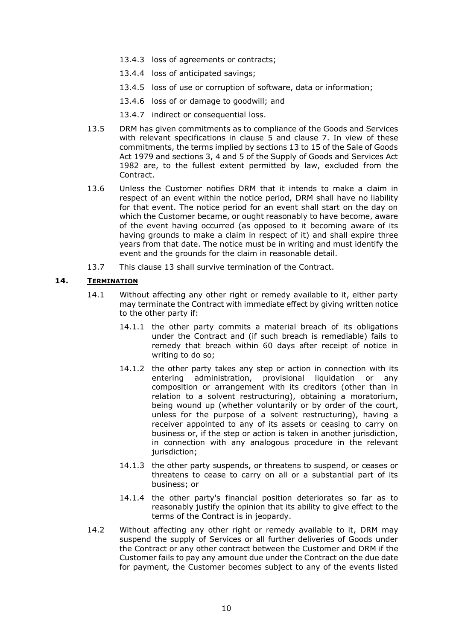- 13.4.3 loss of agreements or contracts;
- 13.4.4 loss of anticipated savings;
- 13.4.5 loss of use or corruption of software, data or information;
- 13.4.6 loss of or damage to goodwill; and
- 13.4.7 indirect or consequential loss.
- 13.5 DRM has given commitments as to compliance of the Goods and Services with relevant specifications in clause 5 and clause 7. In view of these commitments, the terms implied by sections 13 to 15 of the Sale of Goods Act 1979 and sections 3, 4 and 5 of the Supply of Goods and Services Act 1982 are, to the fullest extent permitted by law, excluded from the Contract.
- 13.6 Unless the Customer notifies DRM that it intends to make a claim in respect of an event within the notice period, DRM shall have no liability for that event. The notice period for an event shall start on the day on which the Customer became, or ought reasonably to have become, aware of the event having occurred (as opposed to it becoming aware of its having grounds to make a claim in respect of it) and shall expire three years from that date. The notice must be in writing and must identify the event and the grounds for the claim in reasonable detail.
- 13.7 This clause 13 shall survive termination of the Contract.

# <span id="page-9-2"></span>**14. TERMINATION**

- <span id="page-9-0"></span>14.1 Without affecting any other right or remedy available to it, either party may terminate the Contract with immediate effect by giving written notice to the other party if:
	- 14.1.1 the other party commits a material breach of its obligations under the Contract and (if such breach is remediable) fails to remedy that breach within 60 days after receipt of notice in writing to do so;
	- 14.1.2 the other party takes any step or action in connection with its entering administration, provisional liquidation or any composition or arrangement with its creditors (other than in relation to a solvent restructuring), obtaining a moratorium, being wound up (whether voluntarily or by order of the court, unless for the purpose of a solvent restructuring), having a receiver appointed to any of its assets or ceasing to carry on business or, if the step or action is taken in another jurisdiction, in connection with any analogous procedure in the relevant jurisdiction;
	- 14.1.3 the other party suspends, or threatens to suspend, or ceases or threatens to cease to carry on all or a substantial part of its business; or
	- 14.1.4 the other party's financial position deteriorates so far as to reasonably justify the opinion that its ability to give effect to the terms of the Contract is in jeopardy.
- <span id="page-9-1"></span>14.2 Without affecting any other right or remedy available to it, DRM may suspend the supply of Services or all further deliveries of Goods under the Contract or any other contract between the Customer and DRM if the Customer fails to pay any amount due under the Contract on the due date for payment, the Customer becomes subject to any of the events listed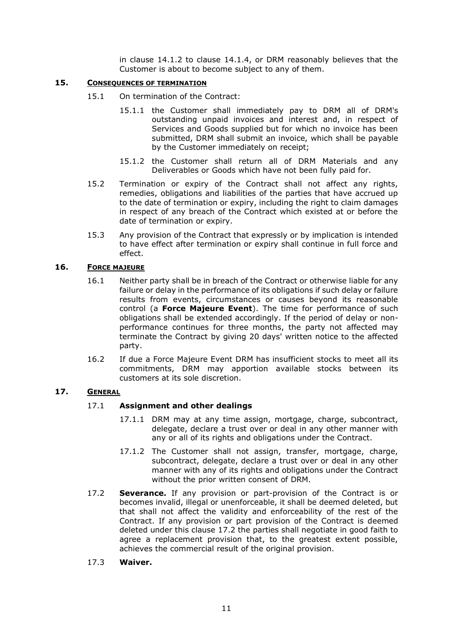in clause 14.1.2 to clause 14.1.4, or DRM reasonably believes that the Customer is about to become subject to any of them.

### **15. CONSEQUENCES OF TERMINATION**

- 15.1 On termination of the Contract:
	- 15.1.1 the Customer shall immediately pay to DRM all of DRM's outstanding unpaid invoices and interest and, in respect of Services and Goods supplied but for which no invoice has been submitted, DRM shall submit an invoice, which shall be payable by the Customer immediately on receipt;
	- 15.1.2 the Customer shall return all of DRM Materials and any Deliverables or Goods which have not been fully paid for.
- 15.2 Termination or expiry of the Contract shall not affect any rights, remedies, obligations and liabilities of the parties that have accrued up to the date of termination or expiry, including the right to claim damages in respect of any breach of the Contract which existed at or before the date of termination or expiry.
- 15.3 Any provision of the Contract that expressly or by implication is intended to have effect after termination or expiry shall continue in full force and effect.

#### <span id="page-10-0"></span>**16. FORCE MAJEURE**

- 16.1 Neither party shall be in breach of the Contract or otherwise liable for any failure or delay in the performance of its obligations if such delay or failure results from events, circumstances or causes beyond its reasonable control (a **Force Majeure Event**). The time for performance of such obligations shall be extended accordingly. If the period of delay or nonperformance continues for three months, the party not affected may terminate the Contract by giving 20 days' written notice to the affected party.
- 16.2 If due a Force Majeure Event DRM has insufficient stocks to meet all its commitments, DRM may apportion available stocks between its customers at its sole discretion.

### **17. GENERAL**

#### 17.1 **Assignment and other dealings**

- 17.1.1 DRM may at any time assign, mortgage, charge, subcontract, delegate, declare a trust over or deal in any other manner with any or all of its rights and obligations under the Contract.
- 17.1.2 The Customer shall not assign, transfer, mortgage, charge, subcontract, delegate, declare a trust over or deal in any other manner with any of its rights and obligations under the Contract without the prior written consent of DRM.
- 17.2 **Severance.** If any provision or part-provision of the Contract is or becomes invalid, illegal or unenforceable, it shall be deemed deleted, but that shall not affect the validity and enforceability of the rest of the Contract. If any provision or part provision of the Contract is deemed deleted under this clause 17.2 the parties shall negotiate in good faith to agree a replacement provision that, to the greatest extent possible, achieves the commercial result of the original provision.
- 17.3 **Waiver.**